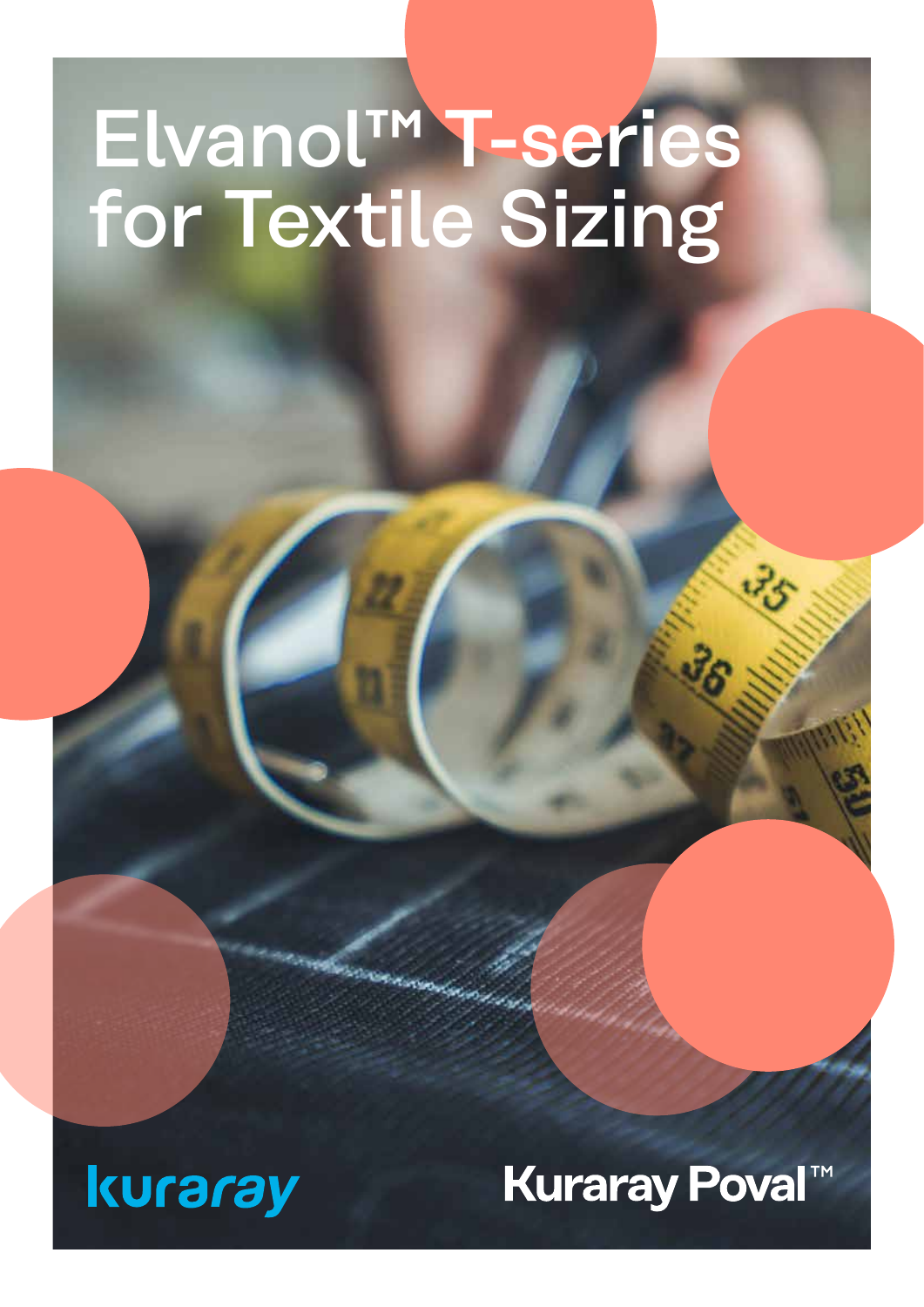# Elvanol™ T-series for Textile Sizing

**SINGHAM** 



# **Kuraray Poval™**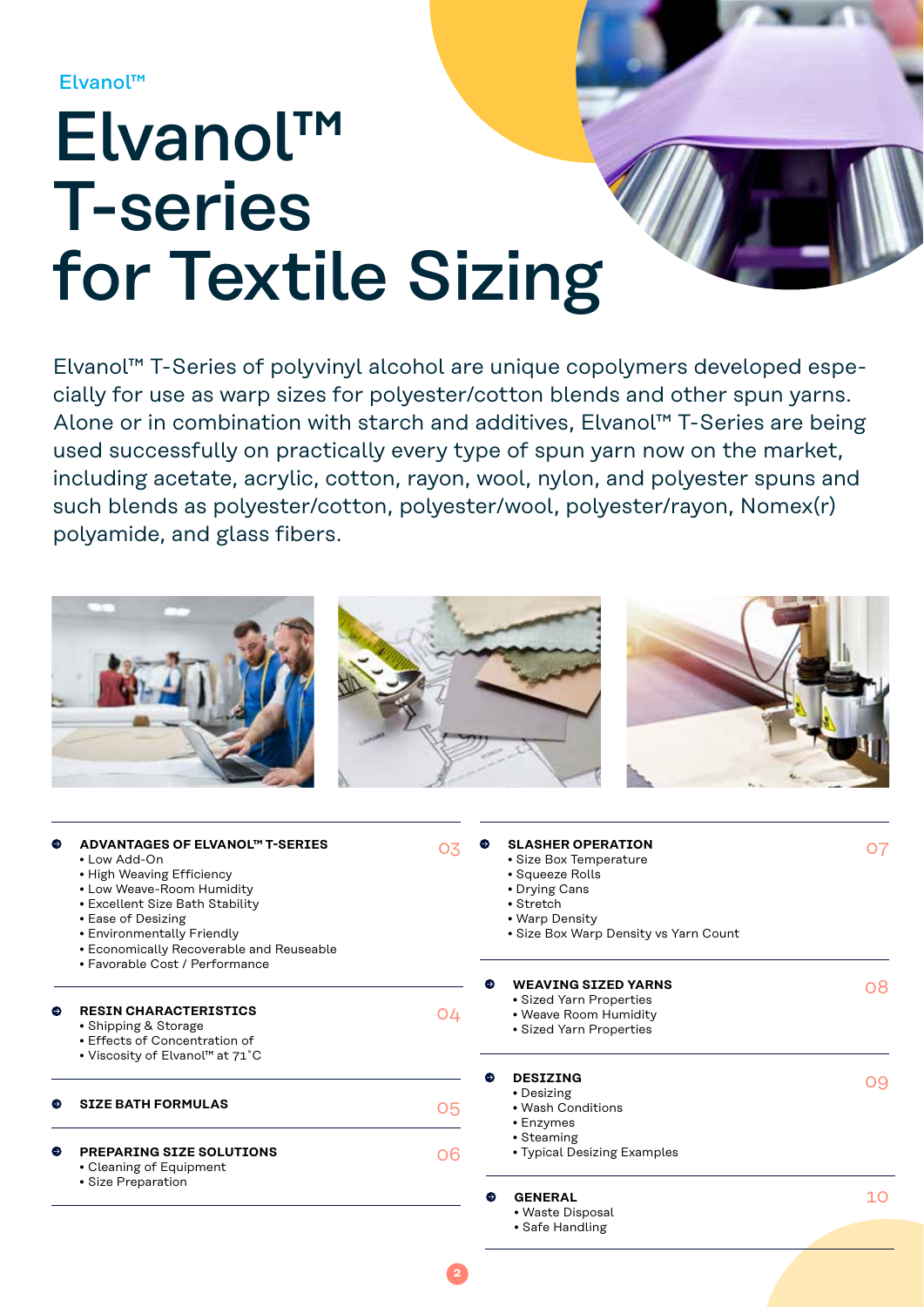Elvanol™

# Elvanol™ T-series for Textile Sizing

Elvanol™ T-Series of polyvinyl alcohol are unique copolymers developed especially for use as warp sizes for polyester/cotton blends and other spun yarns. Alone or in combination with starch and additives, Elvanol™ T-Series are being used successfully on practically every type of spun yarn now on the market, including acetate, acrylic, cotton, rayon, wool, nylon, and polyester spuns and such blends as polyester/cotton, polyester/wool, polyester/rayon, Nomex(r) polyamide, and glass fibers.

| ⊖ | ADVANTAGES OF ELVANOL™ T-SERIES<br>• Low Add-On<br>• High Weaving Efficiency<br>• Low Weave-Room Humidity<br>• Excellent Size Bath Stability<br>• Ease of Desizing<br>• Environmentally Friendly<br>• Economically Recoverable and Reuseable<br>• Favorable Cost / Performance | 03 | <b>SLASHER OPERATION</b><br>· Size Box Temperature<br>• Squeeze Rolls<br>• Drying Cans<br>• Stretch<br>• Warp Density<br>• Size Box Warp Density vs Yarn Count | 07 |
|---|--------------------------------------------------------------------------------------------------------------------------------------------------------------------------------------------------------------------------------------------------------------------------------|----|----------------------------------------------------------------------------------------------------------------------------------------------------------------|----|
|   | <b>RESIN CHARACTERISTICS</b><br>• Shipping & Storage<br>• Effects of Concentration of<br>. Viscosity of Elvanol™ at 71°C                                                                                                                                                       | 04 | <b>WEAVING SIZED YARNS</b><br>· Sized Yarn Properties<br>• Weave Room Humidity<br>· Sized Yarn Properties                                                      | 08 |
|   | <b>SIZE BATH FORMULAS</b>                                                                                                                                                                                                                                                      | 05 | <b>DESIZING</b><br>Θ<br>• Desizing<br>• Wash Conditions<br>• Enzymes<br>• Steaming                                                                             | 09 |
| ⊖ | PREPARING SIZE SOLUTIONS<br>• Cleaning of Equipment<br>· Size Preparation                                                                                                                                                                                                      | 06 | • Typical Desizing Examples<br><b>GENERAL</b><br>●<br>• Waste Disposal<br>• Safe Handling                                                                      | 10 |

**2**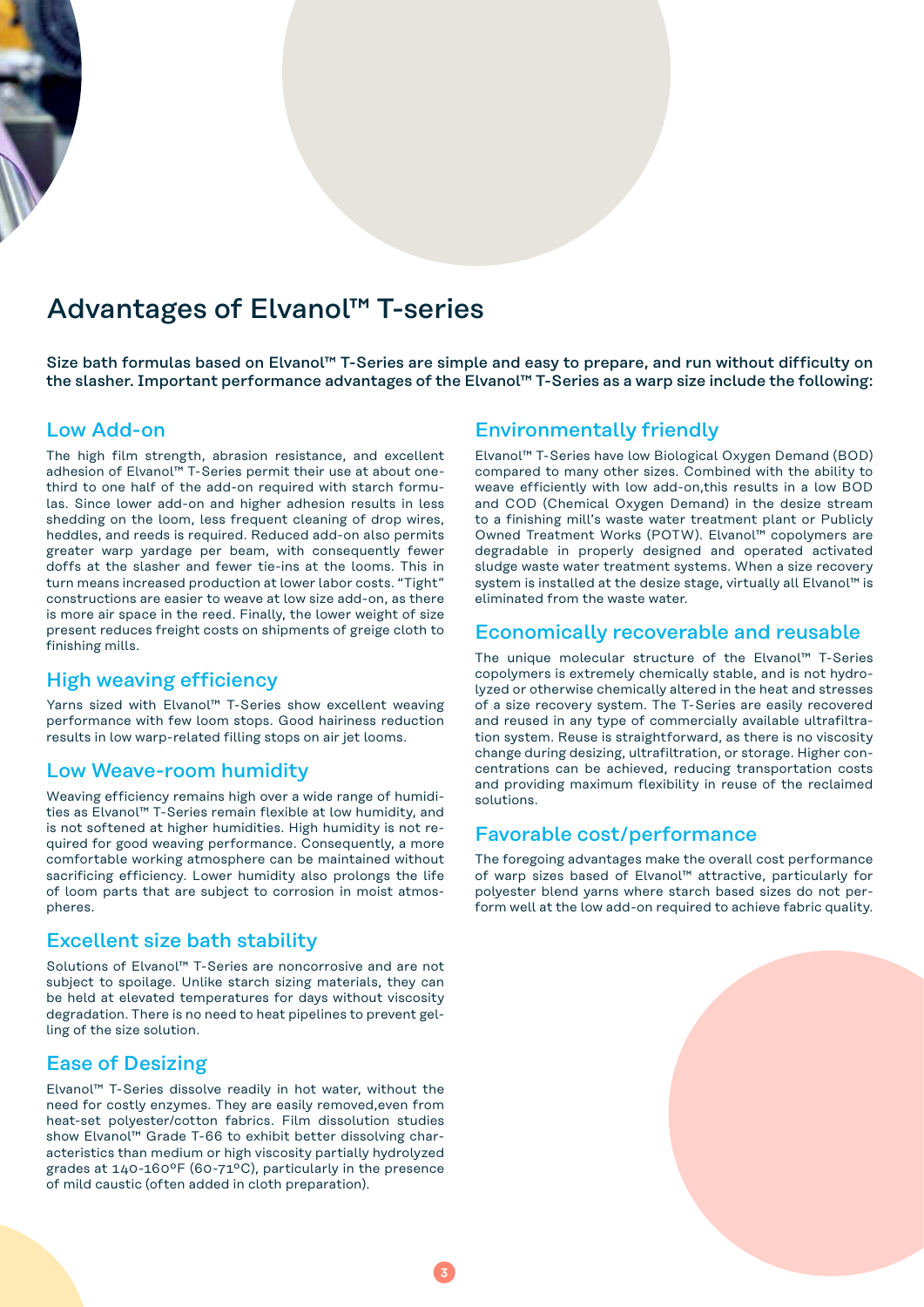# Advantages of Elvanol™ T-series

Size bath formulas based on Elvanol™ T-Series are simple and easy to prepare, and run without difficulty on the slasher. Important performance advantages of the Elvanol™ T-Series as a warp size include the following:

### Low Add-on

The high film strength, abrasion resistance, and excellent adhesion of Elvanol™ T-Series permit their use at about onethird to one half of the add-on required with starch formulas. Since lower add-on and higher adhesion results in less shedding on the loom, less frequent cleaning of drop wires, heddles, and reeds is required. Reduced add-on also permits greater warp yardage per beam, with consequently fewer doffs at the slasher and fewer tie-ins at the looms. This in turn means increased production at lower labor costs. "Tight" constructions are easier to weave at low size add-on, as there is more air space in the reed. Finally, the lower weight of size present reduces freight costs on shipments of greige cloth to finishing mills.

### High weaving efficiency

Yarns sized with Elvanol™ T-Series show excellent weaving performance with few loom stops. Good hairiness reduction results in low warp-related filling stops on air jet looms.

#### Low Weave-room humidity

Weaving efficiency remains high over a wide range of humidities as Elvanol™ T-Series remain flexible at low humidity, and is not softened at higher humidities. High humidity is not required for good weaving performance. Consequently, a more comfortable working atmosphere can be maintained without sacrificing efficiency. Lower humidity also prolongs the life of loom parts that are subject to corrosion in moist atmospheres.

### Excellent size bath stability

Solutions of Elvanol™ T-Series are noncorrosive and are not subject to spoilage. Unlike starch sizing materials, they can be held at elevated temperatures for days without viscosity degradation. There is no need to heat pipelines to prevent gelling of the size solution.

### Ease of Desizing

Elvanol™ T-Series dissolve readily in hot water, without the need for costly enzymes. They are easily removed,even from heat-set polyester/cotton fabrics. Film dissolution studies show Elvanol™ Grade T-66 to exhibit better dissolving characteristics than medium or high viscosity partially hydrolyzed grades at 140-160ºF (60-71ºC), particularly in the presence of mild caustic (often added in cloth preparation).

#### Environmentally friendly

Elvanol™ T-Series have low Biological Oxygen Demand (BOD) compared to many other sizes. Combined with the ability to weave efficiently with low add-on,this results in a low BOD and COD (Chemical Oxygen Demand) in the desize stream to a finishing mill's waste water treatment plant or Publicly Owned Treatment Works (POTW). Elvanol™ copolymers are degradable in properly designed and operated activated sludge waste water treatment systems. When a size recovery system is installed at the desize stage, virtually all Elvanol<sup>™</sup> is eliminated from the waste water.

#### Economically recoverable and reusable

The unique molecular structure of the Elvanol™ T-Series copolymers is extremely chemically stable, and is not hydrolyzed or otherwise chemically altered in the heat and stresses of a size recovery system. The T-Series are easily recovered and reused in any type of commercially available ultrafiltration system. Reuse is straightforward, as there is no viscosity change during desizing, ultrafiltration, or storage. Higher concentrations can be achieved, reducing transportation costs and providing maximum flexibility in reuse of the reclaimed solutions.

### Favorable cost/performance

The foregoing advantages make the overall cost performance of warp sizes based of Elvanol™ attractive, particularly for polyester blend yarns where starch based sizes do not perform well at the low add-on required to achieve fabric quality.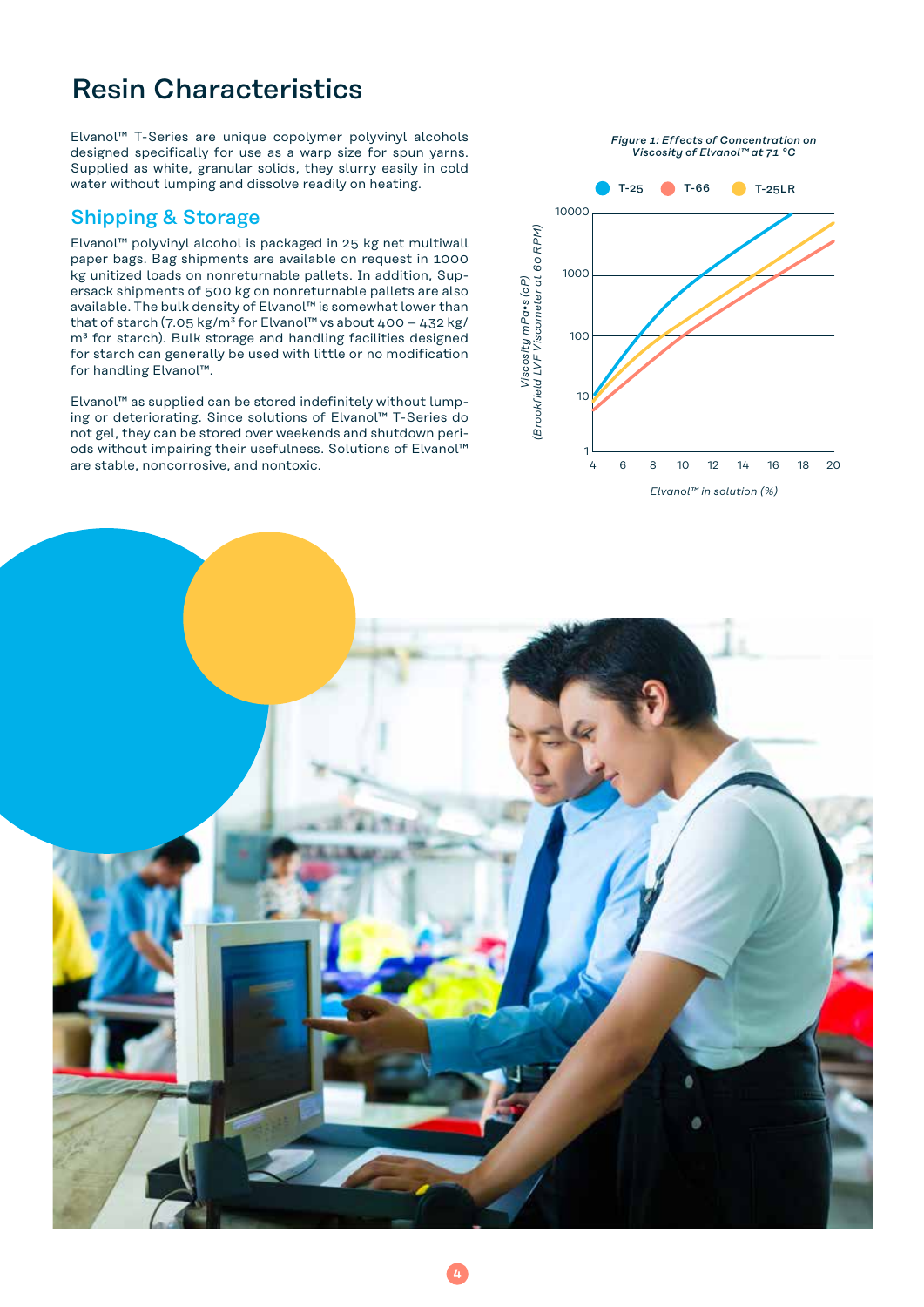# Resin Characteristics

Elvanol™ T-Series are unique copolymer polyvinyl alcohols designed specifically for use as a warp size for spun yarns. Supplied as white, granular solids, they slurry easily in cold water without lumping and dissolve readily on heating.

## Shipping & Storage

Elvanol™ polyvinyl alcohol is packaged in 25 kg net multiwall paper bags. Bag shipments are available on request in 1000 kg unitized loads on nonreturnable pallets. In addition, Supersack shipments of 500 kg on nonreturnable pallets are also available. The bulk density of Elvanol™ is somewhat lower than that of starch (7.05 kg/m<sup>3</sup> for Elvanol<sup>™</sup> vs about 400 - 432 kg/ m<sup>3</sup> for starch). Bulk storage and handling facilities designed for starch can generally be used with little or no modification for handling Elvanol™.

Elvanol™ as supplied can be stored indefinitely without lumping or deteriorating. Since solutions of Elvanol™ T-Series do not gel, they can be stored over weekends and shutdown periods without impairing their usefulness. Solutions of Elvanol™ are stable, noncorrosive, and nontoxic.



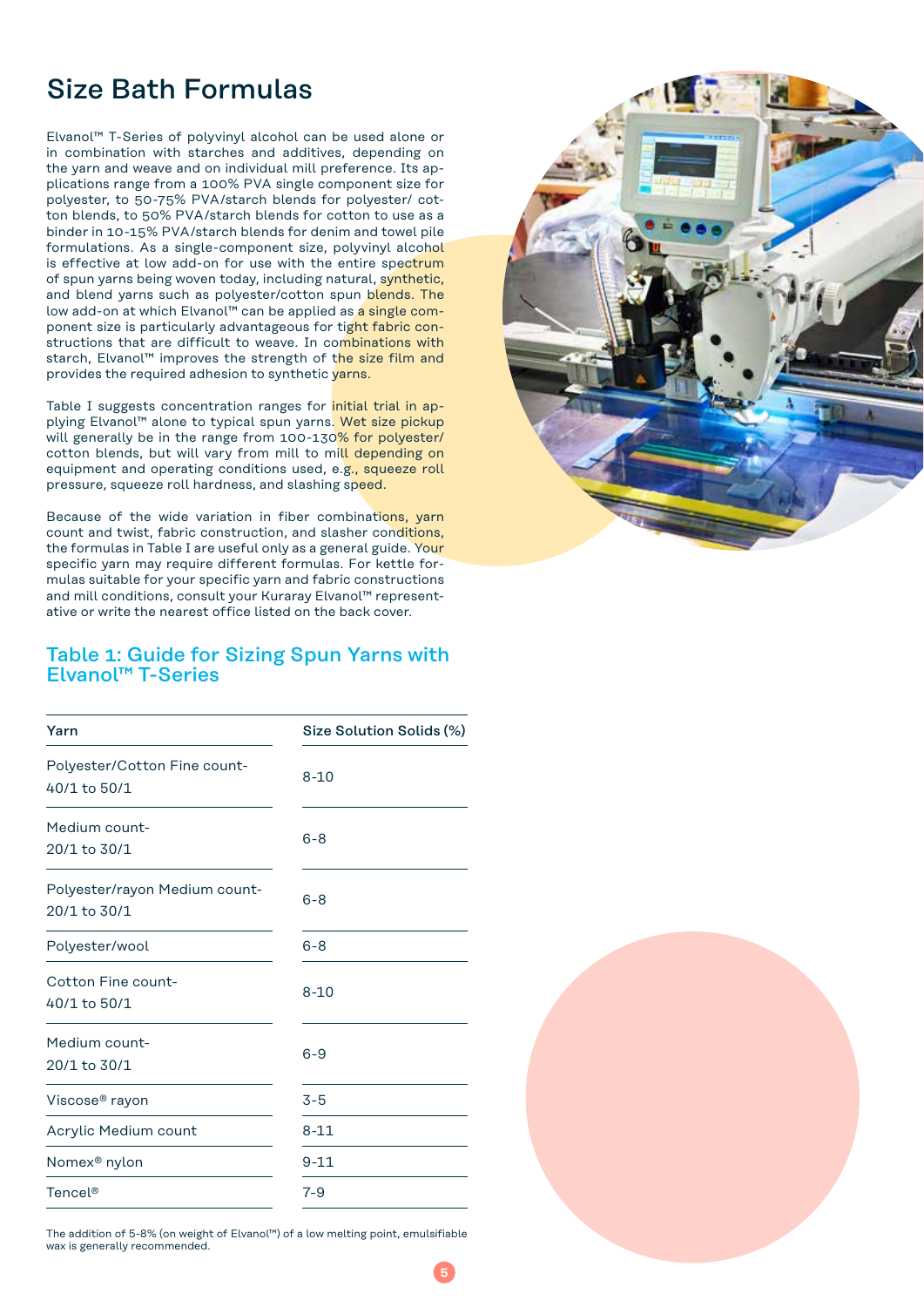# Size Bath Formulas

Elvanol™ T-Series of polyvinyl alcohol can be used alone or in combination with starches and additives, depending on the yarn and weave and on individual mill preference. Its applications range from a 100% PVA single component size for polyester, to 50-75% PVA/starch blends for polyester/ cotton blends, to 50% PVA/starch blends for cotton to use as a binder in 10-15% PVA/starch blends for denim and towel pile formulations. As a single-component size, polyvinyl alcohol is effective at low add-on for use with the entire spectrum of spun yarns being woven today, including natural, synthetic, and blend yarns such as polyester/cotton spun blends. The low add-on at which Elvanol™ can be applied as a single component size is particularly advantageous for tight fabric constructions that are difficult to weave. In combinations with starch, Elvanol™ improves the strength of the size film and provides the required adhesion to synthetic varns.

Table I suggests concentration ranges for initial trial in applying Elvanol™ alone to typical spun yarns. Wet size pickup will generally be in the range from 100-130% for polyester/ cotton blends, but will vary from mill to mill depending on equipment and operating conditions used, e.g., squeeze roll pressure, squeeze roll hardness, and slashing speed.

Because of the wide variation in fiber combinations, yarn count and twist, fabric construction, and slasher conditions, the formulas in Table I are useful only as a general guide. Your specific yarn may require different formulas. For kettle formulas suitable for your specific yarn and fabric constructions and mill conditions, consult your Kuraray Elvanol™ representative or write the nearest office listed on the back cover.



## Table 1: Guide for Sizing Spun Yarns with Elvanol™ T-Series

| Yarn                                          | Size Solution Solids (%) |  |
|-----------------------------------------------|--------------------------|--|
| Polyester/Cotton Fine count-<br>40/1 to 50/1  | $8 - 10$                 |  |
| Medium count-<br>20/1 to 30/1                 | $6 - 8$                  |  |
| Polyester/rayon Medium count-<br>20/1 to 30/1 | $6 - 8$                  |  |
| Polyester/wool                                | $6 - 8$                  |  |
| Cotton Fine count-<br>40/1 to 50/1            | $8 - 10$                 |  |
| Medium count-<br>20/1 to 30/1                 | $6 - 9$                  |  |
| Viscose® rayon                                | $3 - 5$                  |  |
| Acrylic Medium count                          | $8 - 11$                 |  |
| Nomex <sup>®</sup> nylon                      | $9 - 11$                 |  |
| Tencel <sup>®</sup>                           | $7 - 9$                  |  |
|                                               |                          |  |

The addition of 5-8% (on weight of Elvanol™) of a low melting point, emulsifiable wax is generally recommended.

**5**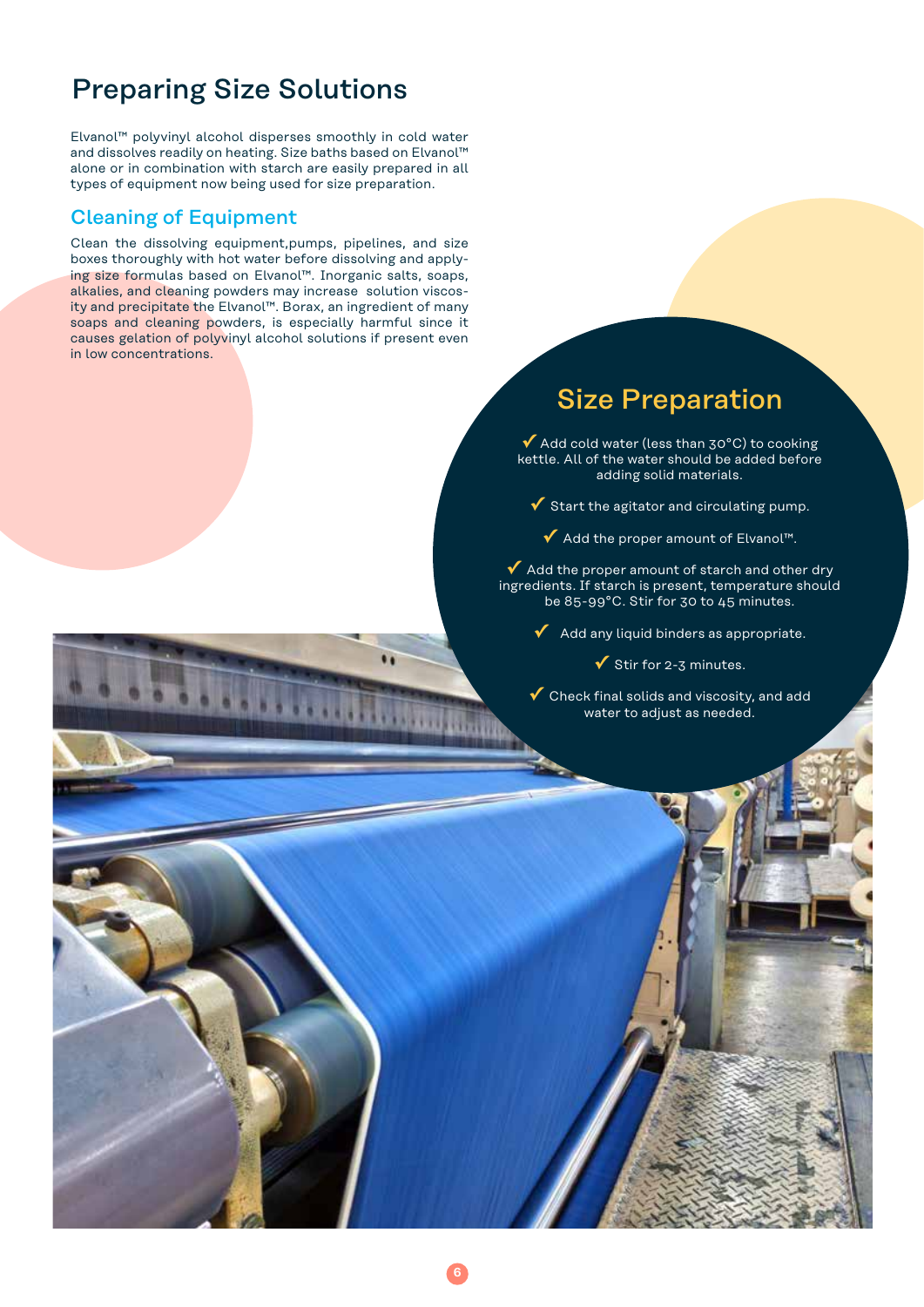# Preparing Size Solutions

Elvanol™ polyvinyl alcohol disperses smoothly in cold water and dissolves readily on heating. Size baths based on Elvanol™ alone or in combination with starch are easily prepared in all types of equipment now being used for size preparation.

## Cleaning of Equipment

Clean the dissolving equipment,pumps, pipelines, and size boxes thoroughly with hot water before dissolving and applying size formulas based on Elvanol™. Inorganic salts, soaps, alkalies, and cleaning powders may increase solution viscosity and precipitate the Elvanol™. Borax, an ingredient of many soaps and cleaning powders, is especially harmful since it causes gelation of polyvinyl alcohol solutions if present even in low concentrations.

# Size Preparation

**✓** Add cold water (less than 30°C) to cooking kettle. All of the water should be added before adding solid materials.

- **✓** Start the agitator and circulating pump.
	- **✓** Add the proper amount of Elvanol™.

◆ Add the proper amount of starch and other dry ingredients. If starch is present, temperature should be 85-99°C. Stir for 30 to 45 minutes.

**✓** Add any liquid binders as appropriate.

**✓** Stir for 2-3 minutes.

**✓** Check final solids and viscosity, and add water to adjust as needed.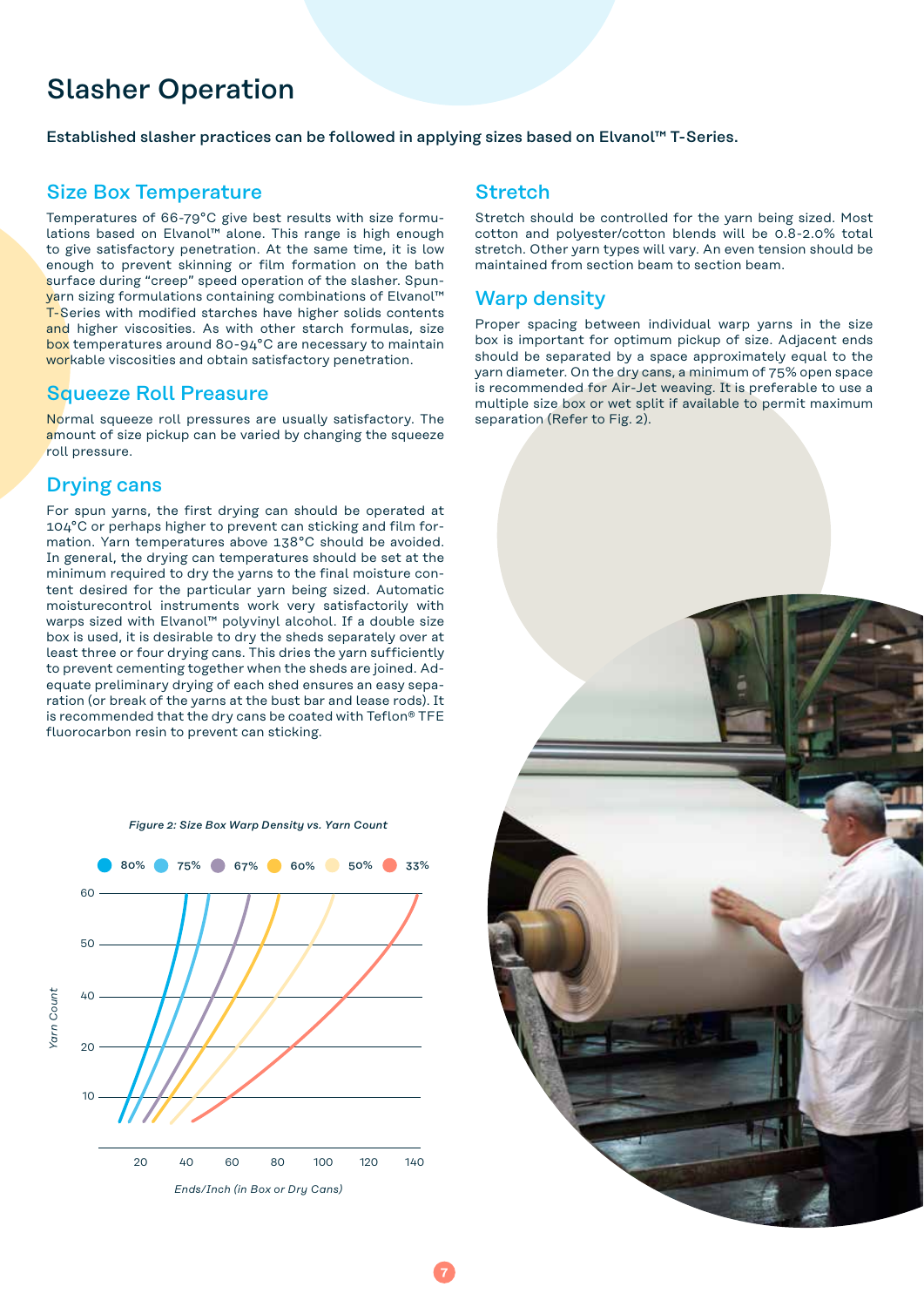# Slasher Operation

Established slasher practices can be followed in applying sizes based on Elvanol™ T-Series.

## Size Box Temperature

Temperatures of 66-79°C give best results with size formulations based on Elvanol™ alone. This range is high enough to give satisfactory penetration. At the same time, it is low enough to prevent skinning or film formation on the bath surface during "creep" speed operation of the slasher. Spunyarn sizing formulations containing combinations of Elvanol™ T-Series with modified starches have higher solids contents and higher viscosities. As with other starch formulas, size box temperatures around 80-94°C are necessary to maintain workable viscosities and obtain satisfactory penetration.

## Squeeze Roll Preasure

Normal squeeze roll pressures are usually satisfactory. The amount of size pickup can be varied by changing the squeeze roll pressure.

## Drying cans

For spun yarns, the first drying can should be operated at 104°C or perhaps higher to prevent can sticking and film formation. Yarn temperatures above 138°C should be avoided. In general, the drying can temperatures should be set at the minimum required to dry the yarns to the final moisture content desired for the particular yarn being sized. Automatic moisturecontrol instruments work very satisfactorily with warps sized with Elvanol™ polyvinyl alcohol. If a double size box is used, it is desirable to dry the sheds separately over at least three or four drying cans. This dries the yarn sufficiently to prevent cementing together when the sheds are joined. Adequate preliminary drying of each shed ensures an easy separation (or break of the yarns at the bust bar and lease rods). It is recommended that the dry cans be coated with Teflon® TFE fluorocarbon resin to prevent can sticking.



## **Stretch**

Stretch should be controlled for the yarn being sized. Most cotton and polyester/cotton blends will be 0.8-2.0% total stretch. Other yarn types will vary. An even tension should be maintained from section beam to section beam.

## Warp density

Proper spacing between individual warp yarns in the size box is important for optimum pickup of size. Adjacent ends should be separated by a space approximately equal to the yarn diameter. On the dry cans, a minimum of 75% open space is recommended for Air-Jet weaving. It is preferable to use a multiple size box or wet split if available to permit maximum separation (Refer to Fig. 2).

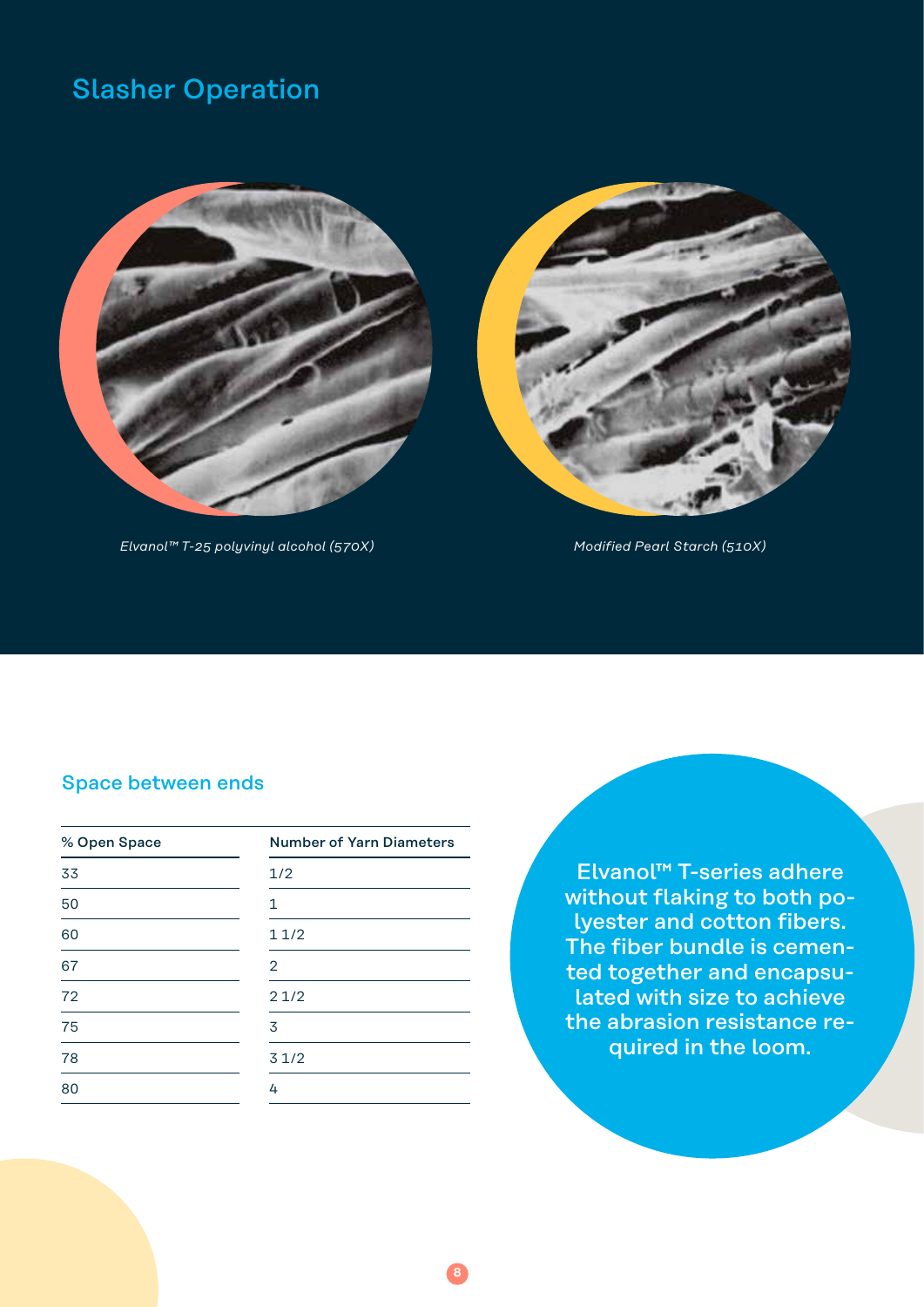# Slasher Operation



*Elvanol™ T-25 polyvinyl alcohol (570X) Modified Pearl Starch (510X)*



# Space between ends

| % Open Space | <b>Number of Yarn Diameters</b> |  |
|--------------|---------------------------------|--|
| 33           | 1/2                             |  |
| 50           | 1                               |  |
| 60           | 11/2                            |  |
| 67           | 2                               |  |
| 72           | 21/2                            |  |
| 75           | 3                               |  |
| 78           | 31/2                            |  |
| 80           | 4                               |  |
|              |                                 |  |

**8**

Elvanol™ T-series adhere without flaking to both polyester and cotton fibers. The fiber bundle is cemented together and encapsulated with size to achieve the abrasion resistance required in the loom.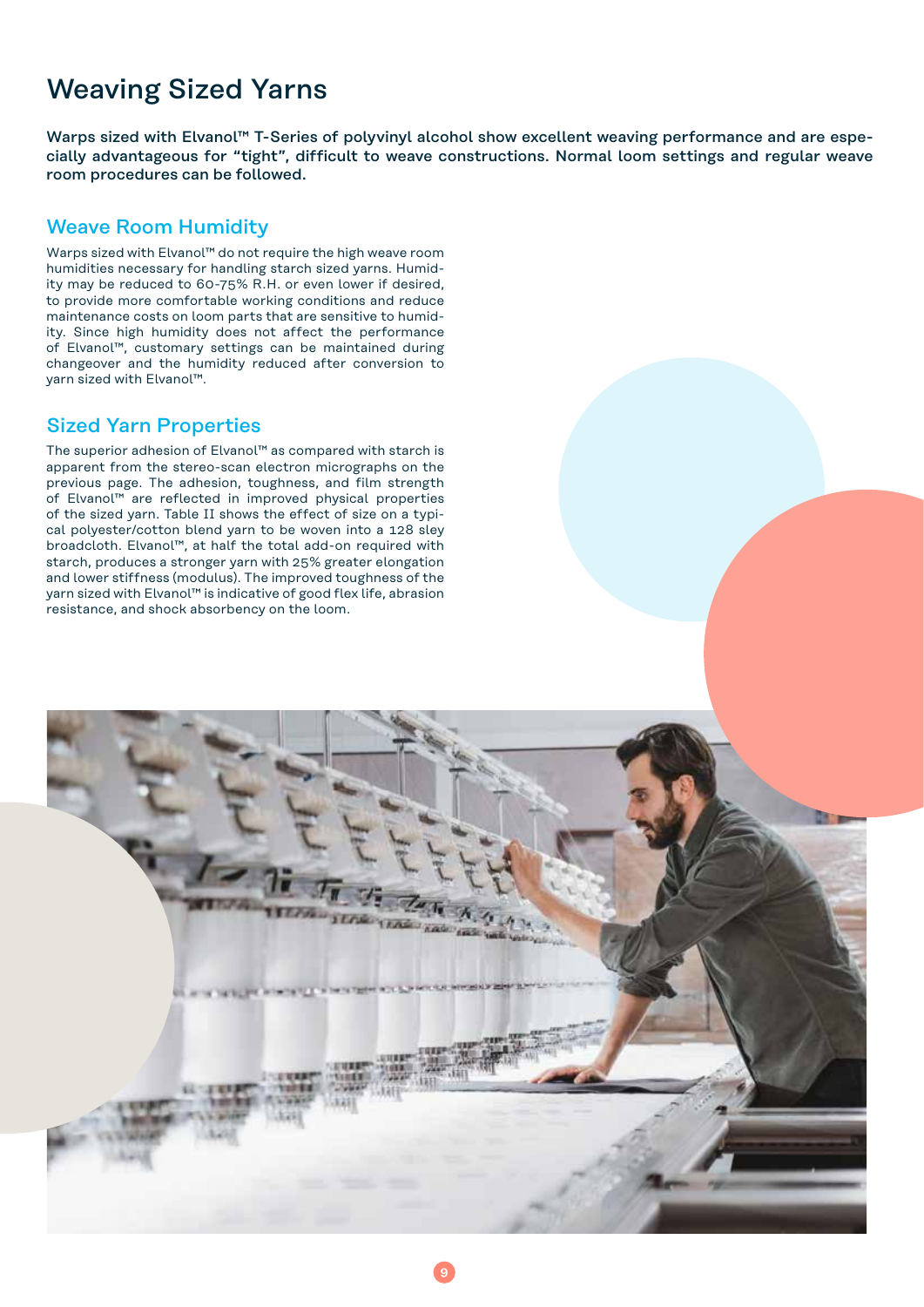# Weaving Sized Yarns

Warps sized with Elvanol<sup>™</sup> T-Series of polyvinyl alcohol show excellent weaving performance and are especially advantageous for "tight", difficult to weave constructions. Normal loom settings and regular weave room procedures can be followed.

## Weave Room Humidity

Warps sized with Elvanol™ do not require the high weave room humidities necessary for handling starch sized yarns. Humidity may be reduced to 60-75% R.H. or even lower if desired, to provide more comfortable working conditions and reduce maintenance costs on loom parts that are sensitive to humidity. Since high humidity does not affect the performance of Elvanol™, customary settings can be maintained during changeover and the humidity reduced after conversion to yarn sized with Elvanol™.

## Sized Yarn Properties

The superior adhesion of Elvanol™ as compared with starch is apparent from the stereo-scan electron micrographs on the previous page. The adhesion, toughness, and film strength of Elvanol™ are reflected in improved physical properties of the sized yarn. Table II shows the effect of size on a typical polyester/cotton blend yarn to be woven into a 128 sley broadcloth. Elvanol™, at half the total add-on required with starch, produces a stronger yarn with 25% greater elongation and lower stiffness (modulus). The improved toughness of the yarn sized with Elvanol™ is indicative of good flex life, abrasion resistance, and shock absorbency on the loom.

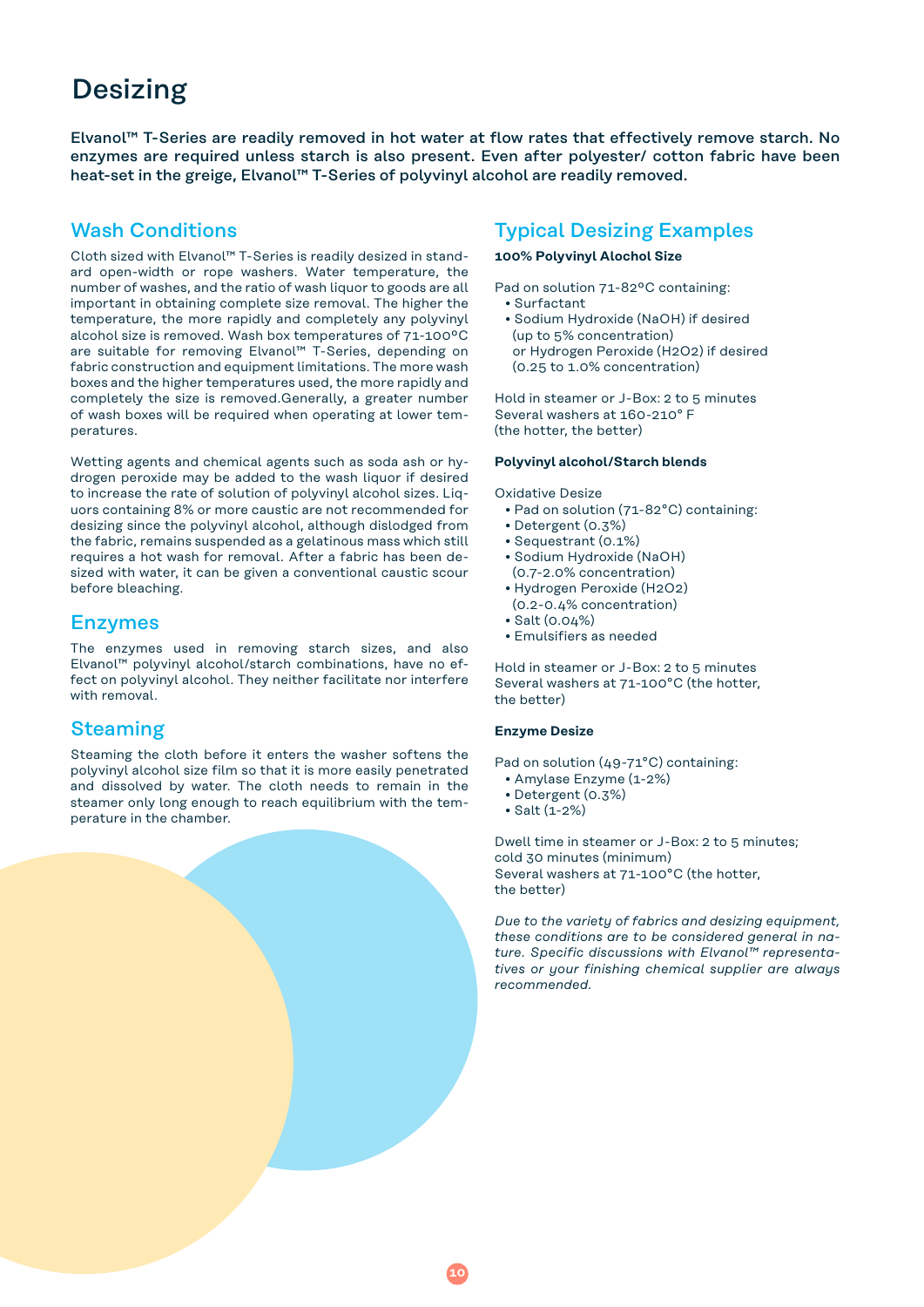# Desizing

Elvanol™ T-Series are readily removed in hot water at flow rates that effectively remove starch. No enzymes are required unless starch is also present. Even after polyester/ cotton fabric have been heat-set in the greige, Elvanol™ T-Series of polyvinyl alcohol are readily removed.

## Wash Conditions

Cloth sized with Elvanol™ T-Series is readily desized in standard open-width or rope washers. Water temperature, the number of washes, and the ratio of wash liquor to goods are all important in obtaining complete size removal. The higher the temperature, the more rapidly and completely any polyvinyl alcohol size is removed. Wash box temperatures of 71-100ºC are suitable for removing Elvanol™ T-Series, depending on fabric construction and equipment limitations. The more wash boxes and the higher temperatures used, the more rapidly and completely the size is removed.Generally, a greater number of wash boxes will be required when operating at lower temperatures.

Wetting agents and chemical agents such as soda ash or hydrogen peroxide may be added to the wash liquor if desired to increase the rate of solution of polyvinyl alcohol sizes. Liquors containing 8% or more caustic are not recommended for desizing since the polyvinyl alcohol, although dislodged from the fabric, remains suspended as a gelatinous mass which still requires a hot wash for removal. After a fabric has been desized with water, it can be given a conventional caustic scour before bleaching.

## Enzymes

The enzymes used in removing starch sizes, and also Elvanol™ polyvinyl alcohol/starch combinations, have no effect on polyvinyl alcohol. They neither facilitate nor interfere with removal.

## Steaming

Steaming the cloth before it enters the washer softens the polyvinyl alcohol size film so that it is more easily penetrated and dissolved by water. The cloth needs to remain in the steamer only long enough to reach equilibrium with the temperature in the chamber.

## Typical Desizing Examples

#### **100% Polyvinyl Alochol Size**

Pad on solution 71-82ºC containing:

- Surfactant
- Sodium Hydroxide (NaOH) if desired (up to 5% concentration) or Hydrogen Peroxide (H2O2) if desired (0.25 to 1.0% concentration)

Hold in steamer or J-Box: 2 to 5 minutes Several washers at 160-210° F (the hotter, the better)

#### **Polyvinyl alcohol/Starch blends**

Oxidative Desize

- Pad on solution (71-82°C) containing:
- Detergent (0.3%)
- Sequestrant (0.1%)
- Sodium Hydroxide (NaOH)
- (0.7-2.0% concentration) • Hydrogen Peroxide (H2O2)
- (0.2-0.4% concentration)
- Salt (0.04%)
- Emulsifiers as needed

Hold in steamer or J-Box: 2 to 5 minutes Several washers at 71-100°C (the hotter, the better)

#### **Enzyme Desize**

Pad on solution (49-71°C) containing:

- Amylase Enzyme (1-2%)
- Detergent (0.3%)
- Salt (1-2%)

Dwell time in steamer or J-Box: 2 to 5 minutes; cold 30 minutes (minimum) Several washers at 71-100°C (the hotter, the better)

*Due to the variety of fabrics and desizing equipment, these conditions are to be considered general in nature. Specific discussions with Elvanol™ representatives or your finishing chemical supplier are always recommended.*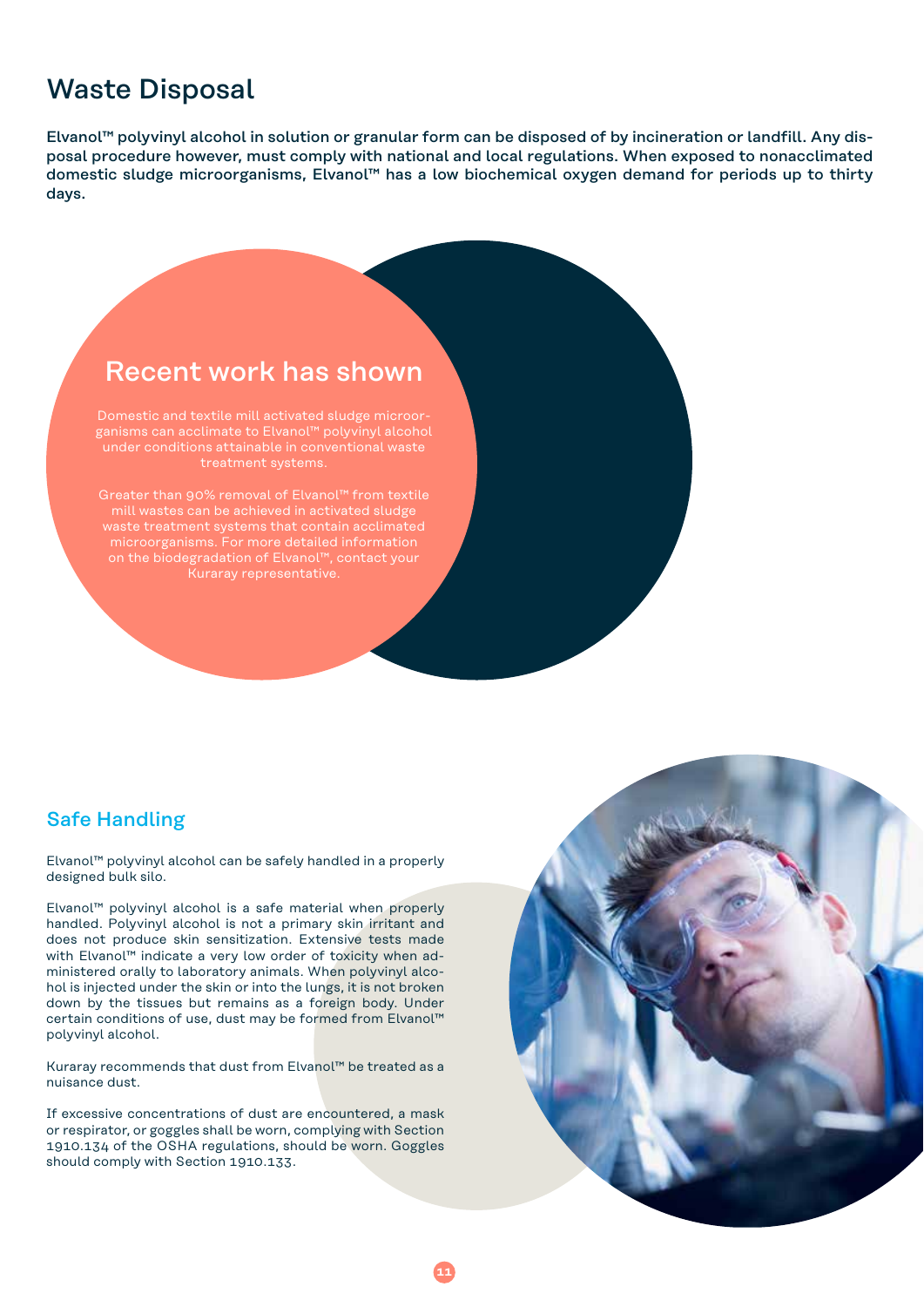# Waste Disposal

Elvanol™ polyvinyl alcohol in solution or granular form can be disposed of by incineration or landfill. Any disposal procedure however, must comply with national and local regulations. When exposed to nonacclimated domestic sludge microorganisms, Elvanol™ has a low biochemical oxygen demand for periods up to thirty days.

# Recent work has shown

Domestic and textile mill activated sludge microorganisms can acclimate to Elvanol™ polyvinyl alcohol treatment systems.

Greater than 90% removal of Elvanol™ from textile mill wastes can be achieved in activated sludge microorganisms. For more detailed information on the biodegradation of Elvanol™, contact your

## Safe Handling

Elvanol™ polyvinyl alcohol can be safely handled in a properly designed bulk silo.

Elvanol™ polyvinyl alcohol is a safe material when properly handled. Polyvinyl alcohol is not a primary skin irritant and does not produce skin sensitization. Extensive tests made with Elvanol<sup>™</sup> indicate a very low order of toxicity when administered orally to laboratory animals. When polyvinyl alcohol is injected under the skin or into the lungs, it is not broken down by the tissues but remains as a foreign body. Under certain conditions of use, dust may be formed from Elvanol™ polyvinyl alcohol.

Kuraray recommends that dust from Elvanol™ be treated as a nuisance dust.

If excessive concentrations of dust are encountered, a mask or respirator, or goggles shall be worn, complying with Section 1910.134 of the OSHA regulations, should be worn. Goggles should comply with Section 1910.133.